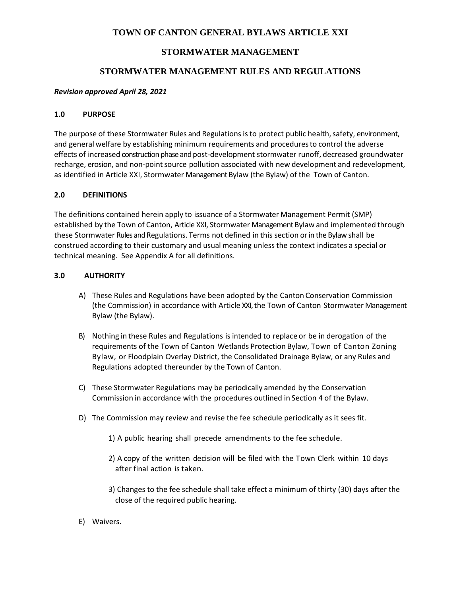# **TOWN OF CANTON GENERAL BYLAWS ARTICLE XXI**

# **STORMWATER MANAGEMENT**

# **STORMWATER MANAGEMENT RULES AND REGULATIONS**

# *Revision approved April 28, 2021*

# **1.0 PURPOSE**

The purpose of these Stormwater Rules and Regulations is to protect public health, safety, environment, and general welfare by establishing minimum requirements and proceduresto control the adverse effects of increased construction phase and post-development stormwater runoff, decreased groundwater recharge, erosion, and non-point source pollution associated with new development and redevelopment, as identified in Article XXI, Stormwater Management Bylaw (the Bylaw) of the Town of Canton.

# **2.0 DEFINITIONS**

The definitions contained herein apply to issuance of a Stormwater Management Permit (SMP) established by the Town of Canton, Article XXI, Stormwater Management Bylaw and implemented through these Stormwater Rules and Regulations. Terms not defined in this section or in the Bylaw shall be construed according to their customary and usual meaning unless the context indicates a special or technical meaning. See Appendix A for all definitions.

# **3.0 AUTHORITY**

- A) These Rules and Regulations have been adopted by the Canton Conservation Commission (the Commission) in accordance with Article XXI, the Town of Canton Stormwater Management Bylaw (the Bylaw).
- B) Nothing in these Rules and Regulations is intended to replace or be in derogation of the requirements of the Town of Canton Wetlands Protection Bylaw, Town of Canton Zoning Bylaw, or Floodplain Overlay District, the Consolidated Drainage Bylaw, or any Rules and Regulations adopted thereunder by the Town of Canton.
- C) These Stormwater Regulations may be periodically amended by the Conservation Commission in accordance with the procedures outlined in Section 4 of the Bylaw.
- D) The Commission may review and revise the fee schedule periodically as it sees fit.
	- 1) A public hearing shall precede amendments to the fee schedule.
	- 2) A copy of the written decision will be filed with the Town Clerk within 10 days after final action is taken.
	- 3) Changes to the fee schedule shall take effect a minimum of thirty (30) days after the close of the required public hearing.
- E) Waivers.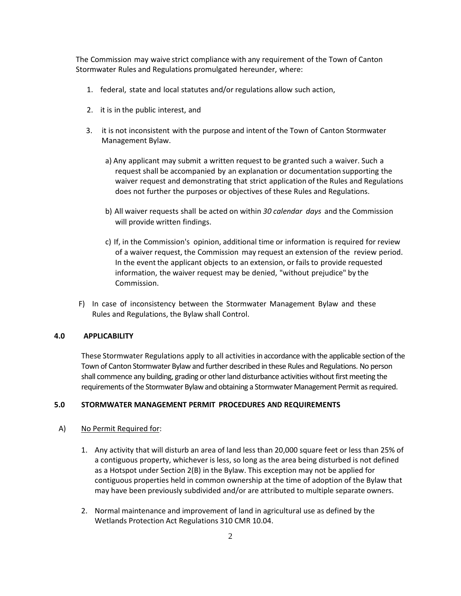The Commission may waive strict compliance with any requirement of the Town of Canton Stormwater Rules and Regulations promulgated hereunder, where:

- 1. federal, state and local statutes and/or regulations allow such action,
- 2. it is in the public interest, and
- 3. it is not inconsistent with the purpose and intent of the Town of Canton Stormwater Management Bylaw.
	- a) Any applicant may submit a written request to be granted such a waiver. Such a request shall be accompanied by an explanation or documentation supporting the waiver request and demonstrating that strict application of the Rules and Regulations does not further the purposes or objectives of these Rules and Regulations.
	- b) All waiver requests shall be acted on within *30 calendar days* and the Commission will provide written findings.
	- c) If, in the Commission's opinion, additional time or information is required for review of a waiver request, the Commission may request an extension of the review period. In the event the applicant objects to an extension, or failsto provide requested information, the waiver request may be denied, "without prejudice" by the Commission.
- F) In case of inconsistency between the Stormwater Management Bylaw and these Rules and Regulations, the Bylaw shall Control.

### **4.0 APPLICABILITY**

These Stormwater Regulations apply to all activities in accordance with the applicable section of the Town of Canton Stormwater Bylaw and further described in these Rules and Regulations. No person shall commence any building, grading or other land disturbance activities without first meeting the requirements of the Stormwater Bylaw and obtaining a Stormwater Management Permit as required.

#### **5.0 STORMWATER MANAGEMENT PERMIT PROCEDURES AND REQUIREMENTS**

#### A) No Permit Required for:

- 1. Any activity that will disturb an area of land less than 20,000 square feet or less than 25% of a contiguous property, whichever is less, so long as the area being disturbed is not defined as a Hotspot under Section 2(B) in the Bylaw. This exception may not be applied for contiguous properties held in common ownership at the time of adoption of the Bylaw that may have been previously subdivided and/or are attributed to multiple separate owners.
- 2. Normal maintenance and improvement of land in agricultural use as defined by the Wetlands Protection Act Regulations 310 CMR 10.04.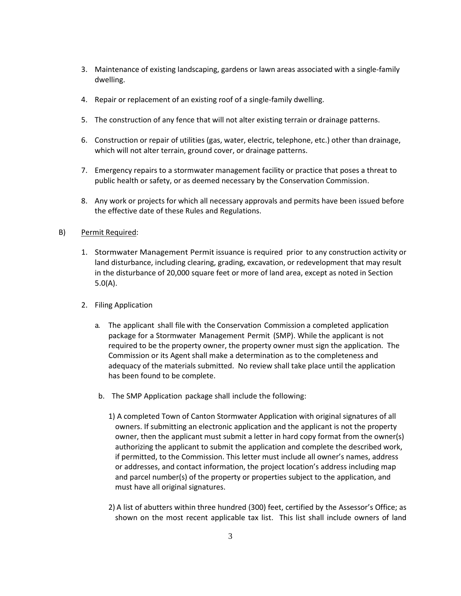- 3. Maintenance of existing landscaping, gardens or lawn areas associated with a single-family dwelling.
- 4. Repair or replacement of an existing roof of a single-family dwelling.
- 5. The construction of any fence that will not alter existing terrain or drainage patterns.
- 6. Construction or repair of utilities (gas, water, electric, telephone, etc.) other than drainage, which will not alter terrain, ground cover, or drainage patterns.
- 7. Emergency repairs to a stormwater management facility or practice that poses a threat to public health or safety, or as deemed necessary by the Conservation Commission.
- 8. Any work or projects for which all necessary approvals and permits have been issued before the effective date of these Rules and Regulations.

#### B) Permit Required:

- 1. Stormwater Management Permit issuance is required prior to any construction activity or land disturbance, including clearing, grading, excavation, or redevelopment that may result in the disturbance of 20,000 square feet or more of land area, except as noted in Section 5.0(A).
- 2. Filing Application
	- a. The applicant shall file with the Conservation Commission a completed application package for a Stormwater Management Permit (SMP). While the applicant is not required to be the property owner, the property owner must sign the application. The Commission or its Agent shall make a determination as to the completeness and adequacy of the materials submitted. No review shall take place until the application has been found to be complete.
	- b. The SMP Application package shall include the following:
		- 1) A completed Town of Canton Stormwater Application with original signatures of all owners. If submitting an electronic application and the applicant is not the property owner, then the applicant must submit a letter in hard copy format from the owner(s) authorizing the applicant to submit the application and complete the described work, if permitted, to the Commission. This letter must include all owner's names, address or addresses, and contact information, the project location's address including map and parcel number(s) of the property or properties subject to the application, and must have all original signatures.
		- 2) A list of abutters within three hundred (300) feet, certified by the Assessor's Office; as shown on the most recent applicable tax list. This list shall include owners of land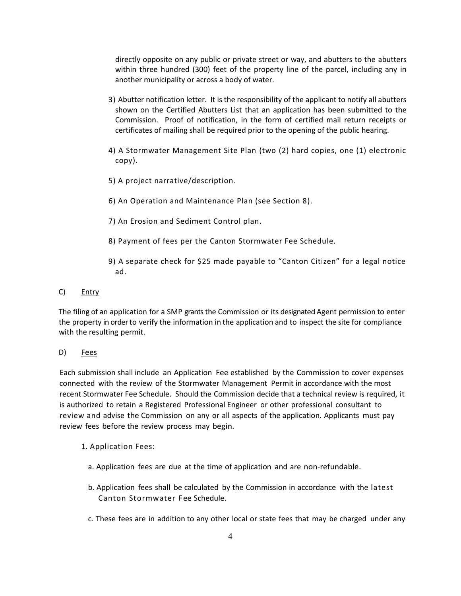directly opposite on any public or private street or way, and abutters to the abutters within three hundred (300) feet of the property line of the parcel, including any in another municipality or across a body of water.

- 3) Abutter notification letter. It is the responsibility of the applicant to notify all abutters shown on the Certified Abutters List that an application has been submitted to the Commission. Proof of notification, in the form of certified mail return receipts or certificates of mailing shall be required prior to the opening of the public hearing.
- 4) A Stormwater Management Site Plan (two (2) hard copies, one (1) electronic copy).
- 5) A project narrative/description.
- 6) An Operation and Maintenance Plan (see Section 8).
- 7) An Erosion and Sediment Control plan.
- 8) Payment of fees per the Canton Stormwater Fee Schedule.
- 9) A separate check for \$25 made payable to "Canton Citizen" for a legal notice ad.

# C) Entry

The filing of an application for a SMP grants the Commission or its designated Agent permission to enter the property in order to verify the information in the application and to inspect the site for compliance with the resulting permit.

# D) Fees

Each submission shall include an Application Fee established by the Commission to cover expenses connected with the review of the Stormwater Management Permit in accordance with the most recent Stormwater Fee Schedule. Should the Commission decide that a technical review is required, it is authorized to retain a Registered Professional Engineer or other professional consultant to review and advise the Commission on any or all aspects of the application. Applicants must pay review fees before the review process may begin.

# 1. Application Fees:

- a. Application fees are due at the time of application and are non-refundable.
- b. Application fees shall be calculated by the Commission in accordance with the latest Canton Stormwater Fee Schedule.
- c. These fees are in addition to any other local or state fees that may be charged under any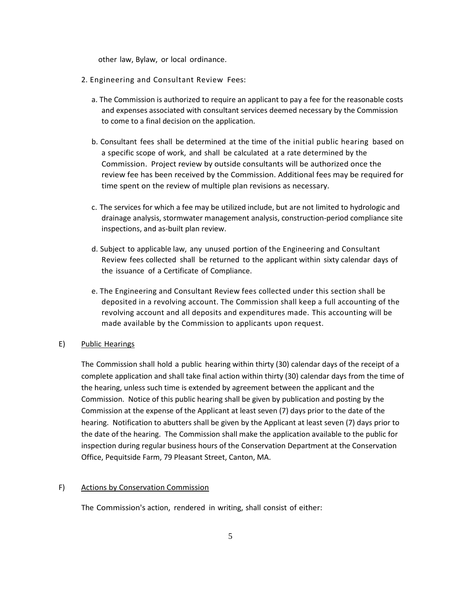other law, Bylaw, or local ordinance.

- 2. Engineering and Consultant Review Fees:
	- a. The Commission is authorized to require an applicant to pay a fee for the reasonable costs and expenses associated with consultant services deemed necessary by the Commission to come to a final decision on the application.
	- b. Consultant fees shall be determined at the time of the initial public hearing based on a specific scope of work, and shall be calculated at a rate determined by the Commission. Project review by outside consultants will be authorized once the review fee has been received by the Commission. Additional fees may be required for time spent on the review of multiple plan revisions as necessary.
	- c. The services for which a fee may be utilized include, but are not limited to hydrologic and drainage analysis, stormwater management analysis, construction-period compliance site inspections, and as-built plan review.
	- d. Subject to applicable law, any unused portion of the Engineering and Consultant Review fees collected shall be returned to the applicant within sixty calendar days of the issuance of a Certificate of Compliance.
	- e. The Engineering and Consultant Review fees collected under this section shall be deposited in a revolving account. The Commission shall keep a full accounting of the revolving account and all deposits and expenditures made. This accounting will be made available by the Commission to applicants upon request.

# E) Public Hearings

The Commission shall hold a public hearing within thirty (30) calendar days of the receipt of a complete application and shall take final action within thirty (30) calendar days from the time of the hearing, unless such time is extended by agreement between the applicant and the Commission. Notice of this public hearing shall be given by publication and posting by the Commission at the expense of the Applicant at least seven (7) days prior to the date of the hearing. Notification to abutters shall be given by the Applicant at least seven (7) days prior to the date of the hearing. The Commission shall make the application available to the public for inspection during regular business hours of the Conservation Department at the Conservation Office, Pequitside Farm, 79 Pleasant Street, Canton, MA.

#### F) Actions by Conservation Commission

The Commission's action, rendered in writing, shall consist of either: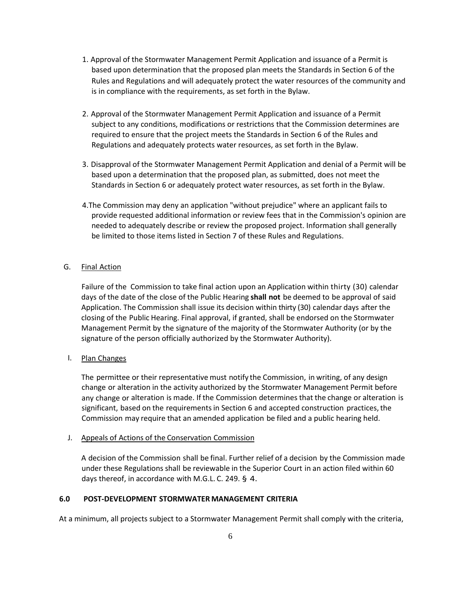- 1. Approval of the Stormwater Management Permit Application and issuance of a Permit is based upon determination that the proposed plan meets the Standards in Section 6 of the Rules and Regulations and will adequately protect the water resources of the community and is in compliance with the requirements, as set forth in the Bylaw.
- 2. Approval of the Stormwater Management Permit Application and issuance of a Permit subject to any conditions, modifications or restrictions that the Commission determines are required to ensure that the project meets the Standards in Section 6 of the Rules and Regulations and adequately protects water resources, as set forth in the Bylaw.
- 3. Disapproval of the Stormwater Management Permit Application and denial of a Permit will be based upon a determination that the proposed plan, as submitted, does not meet the Standards in Section 6 or adequately protect water resources, as set forth in the Bylaw.
- 4.The Commission may deny an application "without prejudice" where an applicant fails to provide requested additional information or review fees that in the Commission's opinion are needed to adequately describe or review the proposed project. Information shall generally be limited to those items listed in Section 7 of these Rules and Regulations.

# G. Final Action

Failure of the Commission to take final action upon an Application within thirty (30) calendar days of the date of the close of the Public Hearing **shall not** be deemed to be approval of said Application. The Commission shall issue its decision within thirty (30) calendar days after the closing of the Public Hearing. Final approval, if granted, shall be endorsed on the Stormwater Management Permit by the signature of the majority of the Stormwater Authority (or by the signature of the person officially authorized by the Stormwater Authority).

#### I. Plan Changes

The permittee or their representative must notify the Commission, in writing, of any design change or alteration in the activity authorized by the Stormwater Management Permit before any change or alteration is made. If the Commission determines that the change or alteration is significant, based on the requirements in Section 6 and accepted construction practices, the Commission may require that an amended application be filed and a public hearing held.

#### J. Appeals of Actions of the Conservation Commission

A decision of the Commission shall be final. Further relief of a decision by the Commission made under these Regulations shall be reviewable in the Superior Court in an action filed within 60 days thereof, in accordance with M.G.L. C. 249. § 4.

#### **6.0 POST-DEVELOPMENT STORMWATER MANAGEMENT CRITERIA**

At a minimum, all projects subject to a Stormwater Management Permit shall comply with the criteria,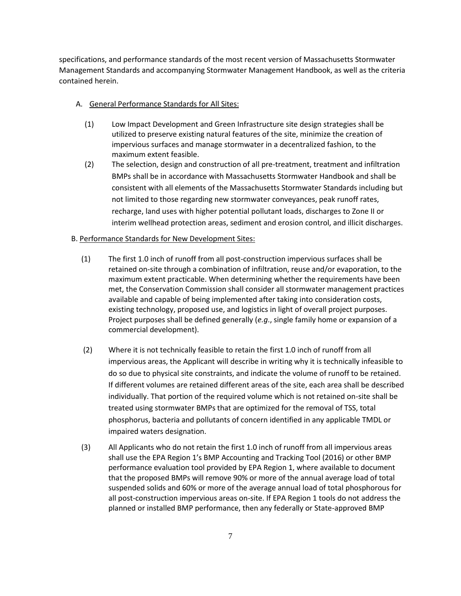specifications, and performance standards of the most recent version of Massachusetts Stormwater Management Standards and accompanying Stormwater Management Handbook, as well as the criteria contained herein.

### A. General Performance Standards for All Sites:

- (1) Low Impact Development and Green Infrastructure site design strategies shall be utilized to preserve existing natural features of the site, minimize the creation of impervious surfaces and manage stormwater in a decentralized fashion, to the maximum extent feasible.
- (2) The selection, design and construction of all pre-treatment, treatment and infiltration BMPs shall be in accordance with Massachusetts Stormwater Handbook and shall be consistent with all elements of the Massachusetts Stormwater Standards including but not limited to those regarding new stormwater conveyances, peak runoff rates, recharge, land uses with higher potential pollutant loads, discharges to Zone II or interim wellhead protection areas, sediment and erosion control, and illicit discharges.

# B. Performance Standards for New Development Sites:

- (1) The first 1.0 inch of runoff from all post-construction impervious surfaces shall be retained on-site through a combination of infiltration, reuse and/or evaporation, to the maximum extent practicable. When determining whether the requirements have been met, the Conservation Commission shall consider all stormwater management practices available and capable of being implemented after taking into consideration costs, existing technology, proposed use, and logistics in light of overall project purposes. Project purposes shall be defined generally (*e.g*., single family home or expansion of a commercial development).
- (2) Where it is not technically feasible to retain the first 1.0 inch of runoff from all impervious areas, the Applicant will describe in writing why it is technically infeasible to do so due to physical site constraints, and indicate the volume of runoff to be retained. If different volumes are retained different areas of the site, each area shall be described individually. That portion of the required volume which is not retained on-site shall be treated using stormwater BMPs that are optimized for the removal of TSS, total phosphorus, bacteria and pollutants of concern identified in any applicable TMDL or impaired waters designation.
- (3) All Applicants who do not retain the first 1.0 inch of runoff from all impervious areas shall use the EPA Region 1's BMP Accounting and Tracking Tool (2016) or other BMP performance evaluation tool provided by EPA Region 1, where available to document that the proposed BMPs will remove 90% or more of the annual average load of total suspended solids and 60% or more of the average annual load of total phosphorous for all post-construction impervious areas on-site. If EPA Region 1 tools do not address the planned or installed BMP performance, then any federally or State-approved BMP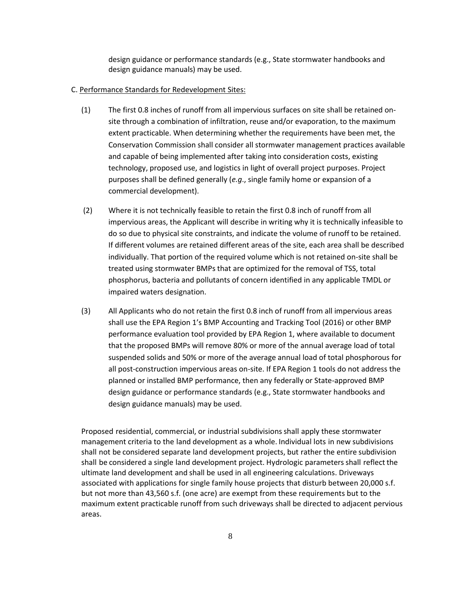design guidance or performance standards (e.g., State stormwater handbooks and design guidance manuals) may be used.

#### C. Performance Standards for Redevelopment Sites:

- (1) The first 0.8 inches of runoff from all impervious surfaces on site shall be retained onsite through a combination of infiltration, reuse and/or evaporation, to the maximum extent practicable. When determining whether the requirements have been met, the Conservation Commission shall consider all stormwater management practices available and capable of being implemented after taking into consideration costs, existing technology, proposed use, and logistics in light of overall project purposes. Project purposes shall be defined generally (*e.g*., single family home or expansion of a commercial development).
- (2) Where it is not technically feasible to retain the first 0.8 inch of runoff from all impervious areas, the Applicant will describe in writing why it is technically infeasible to do so due to physical site constraints, and indicate the volume of runoff to be retained. If different volumes are retained different areas of the site, each area shall be described individually. That portion of the required volume which is not retained on-site shall be treated using stormwater BMPs that are optimized for the removal of TSS, total phosphorus, bacteria and pollutants of concern identified in any applicable TMDL or impaired waters designation.
- (3) All Applicants who do not retain the first 0.8 inch of runoff from all impervious areas shall use the EPA Region 1's BMP Accounting and Tracking Tool (2016) or other BMP performance evaluation tool provided by EPA Region 1, where available to document that the proposed BMPs will remove 80% or more of the annual average load of total suspended solids and 50% or more of the average annual load of total phosphorous for all post-construction impervious areas on-site. If EPA Region 1 tools do not address the planned or installed BMP performance, then any federally or State-approved BMP design guidance or performance standards (e.g., State stormwater handbooks and design guidance manuals) may be used.

Proposed residential, commercial, or industrial subdivisionsshall apply these stormwater management criteria to the land development as a whole. Individual lots in new subdivisions shall not be considered separate land development projects, but rather the entire subdivision shall be considered a single land development project. Hydrologic parametersshall reflect the ultimate land development and shall be used in all engineering calculations. Driveways associated with applications for single family house projects that disturb between 20,000 s.f. but not more than 43,560 s.f. (one acre) are exempt from these requirements but to the maximum extent practicable runoff from such driveways shall be directed to adjacent pervious areas.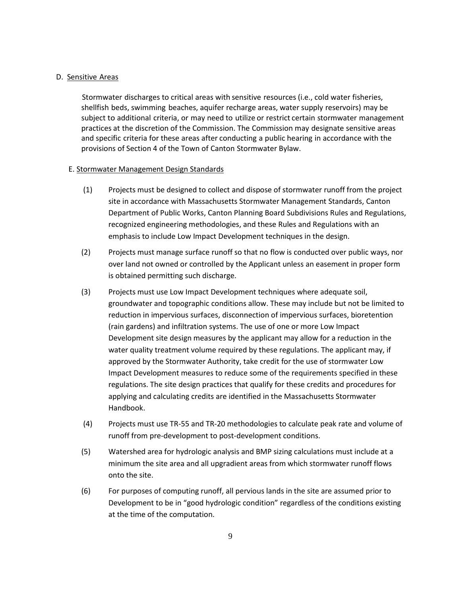#### D. Sensitive Areas

Stormwater discharges to critical areas with sensitive resources (i.e., cold water fisheries, shellfish beds, swimming beaches, aquifer recharge areas, water supply reservoirs) may be subject to additional criteria, or may need to utilize or restrict certain stormwater management practices at the discretion of the Commission. The Commission may designate sensitive areas and specific criteria for these areas after conducting a public hearing in accordance with the provisions of Section 4 of the Town of Canton Stormwater Bylaw.

#### E. Stormwater Management Design Standards

- (1) Projects must be designed to collect and dispose of stormwater runoff from the project site in accordance with Massachusetts Stormwater Management Standards, Canton Department of Public Works, Canton Planning Board Subdivisions Rules and Regulations, recognized engineering methodologies, and these Rules and Regulations with an emphasis to include Low Impact Development techniques in the design.
- (2) Projects must manage surface runoff so that no flow is conducted over public ways, nor over land not owned or controlled by the Applicant unless an easement in proper form is obtained permitting such discharge.
- (3) Projects must use Low Impact Development techniques where adequate soil, groundwater and topographic conditions allow. These may include but not be limited to reduction in impervious surfaces, disconnection of impervious surfaces, bioretention (rain gardens) and infiltration systems. The use of one or more Low Impact Development site design measures by the applicant may allow for a reduction in the water quality treatment volume required by these regulations. The applicant may, if approved by the Stormwater Authority, take credit for the use of stormwater Low Impact Development measures to reduce some of the requirements specified in these regulations. The site design practices that qualify for these credits and procedures for applying and calculating credits are identified in the Massachusetts Stormwater Handbook.
- (4) Projects must use TR-55 and TR-20 methodologies to calculate peak rate and volume of runoff from pre-development to post-development conditions.
- (5) Watershed area for hydrologic analysis and BMP sizing calculations must include at a minimum the site area and all upgradient areas from which stormwater runoff flows onto the site.
- (6) For purposes of computing runoff, all pervious lands in the site are assumed prior to Development to be in "good hydrologic condition" regardless of the conditions existing at the time of the computation.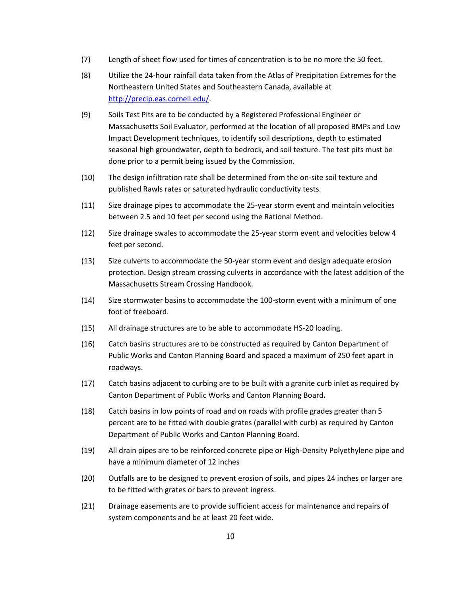- (7) Length of sheet flow used for times of concentration is to be no more the 50 feet.
- (8) Utilize the 24-hour rainfall data taken from the Atlas of Precipitation Extremes for the Northeastern United States and Southeastern Canada, available at [http://precip.eas.cornell.edu/.](http://precip.eas.cornell.edu/)
- (9) Soils Test Pits are to be conducted by a Registered Professional Engineer or Massachusetts Soil Evaluator, performed at the location of all proposed BMPs and Low Impact Development techniques, to identify soil descriptions, depth to estimated seasonal high groundwater, depth to bedrock, and soil texture. The test pits must be done prior to a permit being issued by the Commission.
- (10) The design infiltration rate shall be determined from the on-site soil texture and published Rawls rates or saturated hydraulic conductivity tests.
- (11) Size drainage pipes to accommodate the 25-year storm event and maintain velocities between 2.5 and 10 feet per second using the Rational Method.
- (12) Size drainage swales to accommodate the 25-year storm event and velocities below 4 feet per second.
- (13) Size culverts to accommodate the 50-year storm event and design adequate erosion protection. Design stream crossing culverts in accordance with the latest addition of the Massachusetts Stream Crossing Handbook.
- (14) Size stormwater basins to accommodate the 100-storm event with a minimum of one foot of freeboard.
- (15) All drainage structures are to be able to accommodate HS-20 loading.
- (16) Catch basins structures are to be constructed as required by Canton Department of Public Works and Canton Planning Board and spaced a maximum of 250 feet apart in roadways.
- (17) Catch basins adjacent to curbing are to be built with a granite curb inlet as required by Canton Department of Public Works and Canton Planning Board**.**
- (18) Catch basins in low points of road and on roads with profile grades greater than 5 percent are to be fitted with double grates (parallel with curb) as required by Canton Department of Public Works and Canton Planning Board.
- (19) All drain pipes are to be reinforced concrete pipe or High-Density Polyethylene pipe and have a minimum diameter of 12 inches
- (20) Outfalls are to be designed to prevent erosion of soils, and pipes 24 inches or larger are to be fitted with grates or bars to prevent ingress.
- (21) Drainage easements are to provide sufficient access for maintenance and repairs of system components and be at least 20 feet wide.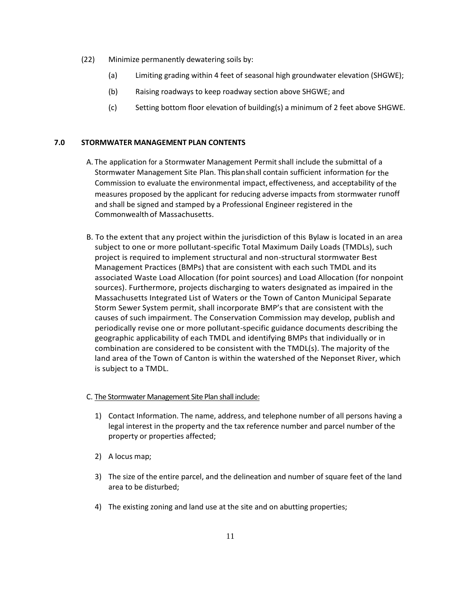- (22) Minimize permanently dewatering soils by:
	- (a) Limiting grading within 4 feet of seasonal high groundwater elevation (SHGWE);
	- (b) Raising roadways to keep roadway section above SHGWE; and
	- (c) Setting bottom floor elevation of building(s) a minimum of 2 feet above SHGWE.

# **7.0 STORMWATER MANAGEMENT PLAN CONTENTS**

- A. The application for a Stormwater Management Permitshall include the submittal of a Stormwater Management Site Plan. This planshall contain sufficient information for the Commission to evaluate the environmental impact, effectiveness, and acceptability of the measures proposed by the applicant for reducing adverse impacts from stormwater runoff and shall be signed and stamped by a Professional Engineer registered in the Commonwealth of Massachusetts.
- B. To the extent that any project within the jurisdiction of this Bylaw is located in an area subject to one or more pollutant-specific Total Maximum Daily Loads (TMDLs), such project is required to implement structural and non-structural stormwater Best Management Practices (BMPs) that are consistent with each such TMDL and its associated Waste Load Allocation (for point sources) and Load Allocation (for nonpoint sources). Furthermore, projects discharging to waters designated as impaired in the Massachusetts Integrated List of Waters or the Town of Canton Municipal Separate Storm Sewer System permit, shall incorporate BMP's that are consistent with the causes of such impairment. The Conservation Commission may develop, publish and periodically revise one or more pollutant-specific guidance documents describing the geographic applicability of each TMDL and identifying BMPs that individually or in combination are considered to be consistent with the TMDL(s). The majority of the land area of the Town of Canton is within the watershed of the Neponset River, which is subject to a TMDL.

# C. The Stormwater Management Site Plan shall include:

- 1) Contact Information. The name, address, and telephone number of all persons having a legal interest in the property and the tax reference number and parcel number of the property or properties affected;
- 2) A locus map;
- 3) The size of the entire parcel, and the delineation and number of square feet of the land area to be disturbed;
- 4) The existing zoning and land use at the site and on abutting properties;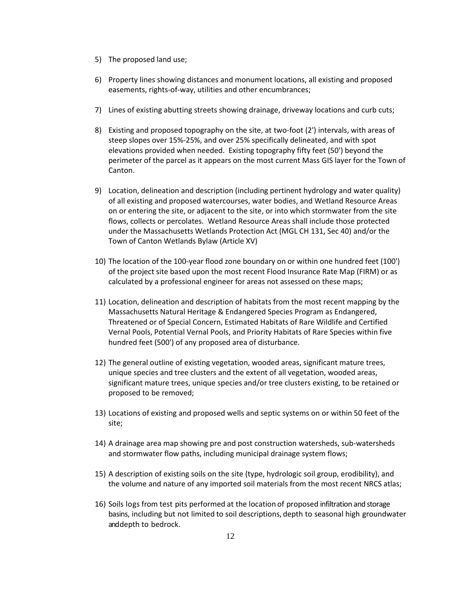- 5) The proposed land use;
- 6) Property lines showing distances and monument locations, all existing and proposed easements, rights-of-way, utilities and other encumbrances;
- 7) Lines of existing abutting streets showing drainage, driveway locations and curb cuts;
- 8) Existing and proposed topography on the site, at two-foot (2') intervals, with areas of steep slopes over 15%-25%, and over 25% specifically delineated, and with spot elevations provided when needed. Existing topography fifty feet (50') beyond the perimeter of the parcel as it appears on the most current Mass GIS layer for the Town of Canton.
- 9) Location, delineation and description (including pertinent hydrology and water quality) of all existing and proposed watercourses, water bodies, and Wetland Resource Areas on or entering the site, or adjacent to the site, or into which stormwater from the site flows, collects or percolates. Wetland Resource Areas shall include those protected under the Massachusetts Wetlands Protection Act (MGL CH 131, Sec 40) and/or the Town of Canton Wetlands Bylaw (Article XV)
- 10) The location of the 100-year flood zone boundary on or within one hundred feet (100') of the project site based upon the most recent Flood Insurance Rate Map (FIRM) or as calculated by a professional engineer for areas not assessed on these maps;
- 11) Location, delineation and description of habitats from the most recent mapping by the Massachusetts Natural Heritage & Endangered Species Program as Endangered, Threatened or of Special Concern, Estimated Habitats of Rare Wildlife and Certified Vernal Pools, Potential Vernal Pools, and Priority Habitats of Rare Species within five hundred feet (500') of any proposed area of disturbance.
- 12) The general outline of existing vegetation, wooded areas, significant mature trees, unique species and tree clusters and the extent of all vegetation, wooded areas, significant mature trees, unique species and/or tree clusters existing, to be retained or proposed to be removed;
- 13) Locations of existing and proposed wells and septic systems on or within 50 feet of the site;
- 14) A drainage area map showing pre and post construction watersheds, sub-watersheds and stormwater flow paths, including municipal drainage system flows;
- 15) A description of existing soils on the site (type, hydrologic soil group, erodibility), and the volume and nature of any imported soil materials from the most recent NRCS atlas;
- 16) Soils logs from test pits performed at the location of proposed infiltration and storage basins, including but not limited to soil descriptions, depth to seasonal high groundwater and depth to bedrock.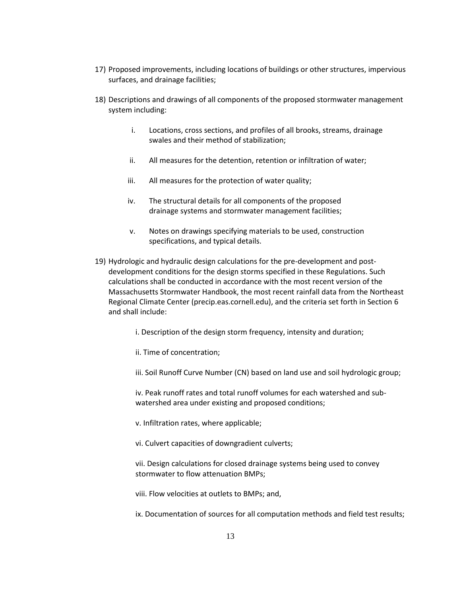- 17) Proposed improvements, including locations of buildings or other structures, impervious surfaces, and drainage facilities;
- 18) Descriptions and drawings of all components of the proposed stormwater management system including:
	- i. Locations, cross sections, and profiles of all brooks, streams, drainage swales and their method of stabilization;
	- ii. All measures for the detention, retention or infiltration of water;
	- iii. All measures for the protection of water quality;
	- iv. The structural details for all components of the proposed drainage systems and stormwater management facilities;
	- v. Notes on drawings specifying materials to be used, construction specifications, and typical details.
- 19) Hydrologic and hydraulic design calculations for the pre-development and postdevelopment conditions for the design storms specified in these Regulations. Such calculations shall be conducted in accordance with the most recent version of the Massachusetts Stormwater Handbook, the most recent rainfall data from the Northeast Regional Climate Center (precip.eas.cornell.edu), and the criteria set forth in Section 6 and shall include:
	- i. Description of the design storm frequency, intensity and duration;
	- ii. Time of concentration;
	- iii. Soil Runoff Curve Number (CN) based on land use and soil hydrologic group;

iv. Peak runoff rates and total runoff volumes for each watershed and subwatershed area under existing and proposed conditions;

- v. Infiltration rates, where applicable;
- vi. Culvert capacities of downgradient culverts;
- vii. Design calculations for closed drainage systems being used to convey stormwater to flow attenuation BMPs;
- viii. Flow velocities at outlets to BMPs; and,
- ix. Documentation of sources for all computation methods and field test results;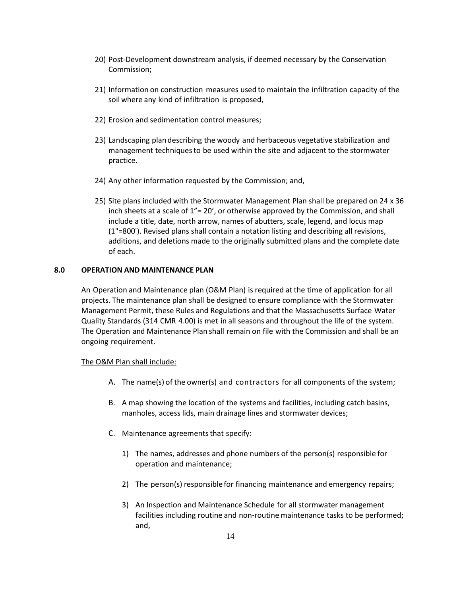- 20) Post-Development downstream analysis, if deemed necessary by the Conservation Commission;
- 21) Information on construction measures used to maintain the infiltration capacity of the soil where any kind of infiltration is proposed,
- 22) Erosion and sedimentation control measures;
- 23) Landscaping plan describing the woody and herbaceous vegetative stabilization and management techniquesto be used within the site and adjacent to the stormwater practice.
- 24) Any other information requested by the Commission; and,
- 25) Site plans included with the Stormwater Management Plan shall be prepared on 24 x 36 inch sheets at a scale of  $1'' = 20'$ , or otherwise approved by the Commission, and shall include a title, date, north arrow, names of abutters, scale, legend, and locus map (1"=800'). Revised plans shall contain a notation listing and describing all revisions, additions, and deletions made to the originally submitted plans and the complete date of each.

#### **8.0 OPERATION AND MAINTENANCE PLAN**

An Operation and Maintenance plan (O&M Plan) is required at the time of application for all projects. The maintenance plan shall be designed to ensure compliance with the Stormwater Management Permit, these Rules and Regulations and that the Massachusetts Surface Water Quality Standards (314 CMR 4.00) is met in all seasons and throughout the life of the system. The Operation and Maintenance Plan shall remain on file with the Commission and shall be an ongoing requirement.

#### The O&M Plan shall include:

- A. The name(s) of the owner(s) and contractors for all components of the system;
- B. A map showing the location of the systems and facilities, including catch basins, manholes, access lids, main drainage lines and stormwater devices;
- C. Maintenance agreements that specify:
	- 1) The names, addresses and phone numbers of the person(s) responsible for operation and maintenance;
	- 2) The person(s) responsible for financing maintenance and emergency repairs;
	- 3) An Inspection and Maintenance Schedule for all stormwater management facilities including routine and non-routine maintenance tasks to be performed; and,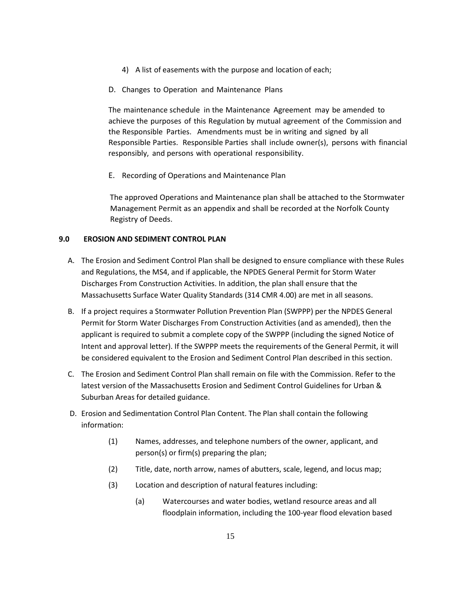- 4) A list of easements with the purpose and location of each;
- D. Changes to Operation and Maintenance Plans

The maintenance schedule in the Maintenance Agreement may be amended to achieve the purposes of this Regulation by mutual agreement of the Commission and the Responsible Parties. Amendments must be in writing and signed by all Responsible Parties. Responsible Parties shall include owner(s), persons with financial responsibly, and persons with operational responsibility.

E. Recording of Operations and Maintenance Plan

The approved Operations and Maintenance plan shall be attached to the Stormwater Management Permit as an appendix and shall be recorded at the Norfolk County Registry of Deeds.

# **9.0 EROSION AND SEDIMENT CONTROL PLAN**

- A. The Erosion and Sediment Control Plan shall be designed to ensure compliance with these Rules and Regulations, the MS4, and if applicable, the NPDES General Permit for Storm Water Discharges From Construction Activities. In addition, the plan shall ensure that the Massachusetts Surface Water Quality Standards (314 CMR 4.00) are met in all seasons.
- B. If a project requires a Stormwater Pollution Prevention Plan (SWPPP) per the NPDES General Permit for Storm Water Discharges From Construction Activities (and as amended), then the applicant is required to submit a complete copy of the SWPPP (including the signed Notice of Intent and approval letter). If the SWPPP meets the requirements of the General Permit, it will be considered equivalent to the Erosion and Sediment Control Plan described in this section.
- C. The Erosion and Sediment Control Plan shall remain on file with the Commission. Refer to the latest version of the Massachusetts Erosion and Sediment Control Guidelines for Urban & Suburban Areas for detailed guidance.
- D. Erosion and Sedimentation Control Plan Content. The Plan shall contain the following information:
	- (1) Names, addresses, and telephone numbers of the owner, applicant, and person(s) or firm(s) preparing the plan;
	- (2) Title, date, north arrow, names of abutters, scale, legend, and locus map;
	- (3) Location and description of natural features including:
		- (a) Watercourses and water bodies, wetland resource areas and all floodplain information, including the 100-year flood elevation based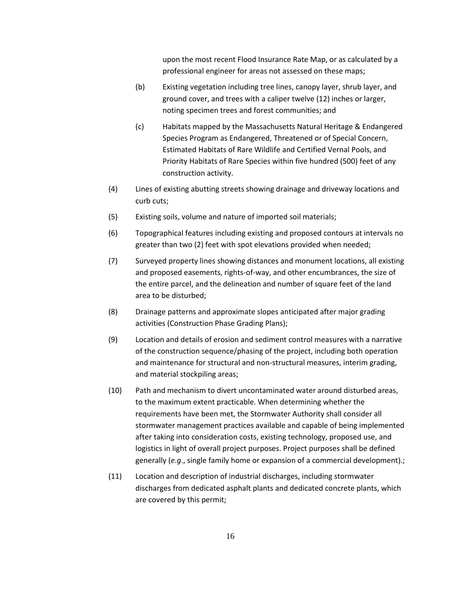upon the most recent Flood Insurance Rate Map, or as calculated by a professional engineer for areas not assessed on these maps;

- (b) Existing vegetation including tree lines, canopy layer, shrub layer, and ground cover, and trees with a caliper twelve (12) inches or larger, noting specimen trees and forest communities; and
- (c) Habitats mapped by the Massachusetts Natural Heritage & Endangered Species Program as Endangered, Threatened or of Special Concern, Estimated Habitats of Rare Wildlife and Certified Vernal Pools, and Priority Habitats of Rare Species within five hundred (500) feet of any construction activity.
- (4) Lines of existing abutting streets showing drainage and driveway locations and curb cuts;
- (5) Existing soils, volume and nature of imported soil materials;
- (6) Topographical features including existing and proposed contours at intervals no greater than two (2) feet with spot elevations provided when needed;
- (7) Surveyed property lines showing distances and monument locations, all existing and proposed easements, rights-of-way, and other encumbrances, the size of the entire parcel, and the delineation and number of square feet of the land area to be disturbed;
- (8) Drainage patterns and approximate slopes anticipated after major grading activities (Construction Phase Grading Plans);
- (9) Location and details of erosion and sediment control measures with a narrative of the construction sequence/phasing of the project, including both operation and maintenance for structural and non-structural measures, interim grading, and material stockpiling areas;
- (10) Path and mechanism to divert uncontaminated water around disturbed areas, to the maximum extent practicable. When determining whether the requirements have been met, the Stormwater Authority shall consider all stormwater management practices available and capable of being implemented after taking into consideration costs, existing technology, proposed use, and logistics in light of overall project purposes. Project purposes shall be defined generally (*e.g*., single family home or expansion of a commercial development).;
- (11) Location and description of industrial discharges, including stormwater discharges from dedicated asphalt plants and dedicated concrete plants, which are covered by this permit;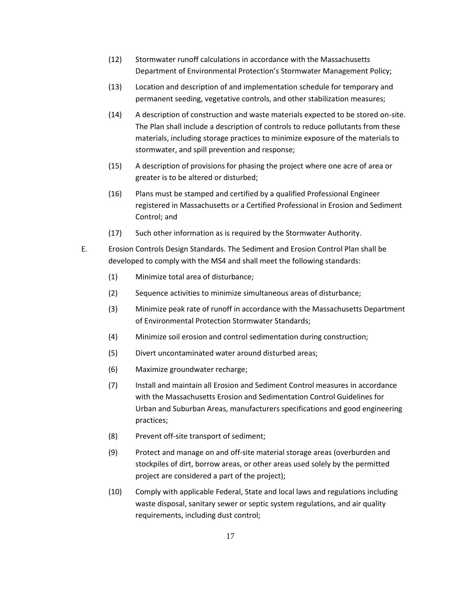- (12) Stormwater runoff calculations in accordance with the Massachusetts Department of Environmental Protection's Stormwater Management Policy;
- (13) Location and description of and implementation schedule for temporary and permanent seeding, vegetative controls, and other stabilization measures;
- (14) A description of construction and waste materials expected to be stored on-site. The Plan shall include a description of controls to reduce pollutants from these materials, including storage practices to minimize exposure of the materials to stormwater, and spill prevention and response;
- (15) A description of provisions for phasing the project where one acre of area or greater is to be altered or disturbed;
- (16) Plans must be stamped and certified by a qualified Professional Engineer registered in Massachusetts or a Certified Professional in Erosion and Sediment Control; and
- (17) Such other information as is required by the Stormwater Authority.
- E. Erosion Controls Design Standards. The Sediment and Erosion Control Plan shall be developed to comply with the MS4 and shall meet the following standards:
	- (1) Minimize total area of disturbance;
	- (2) Sequence activities to minimize simultaneous areas of disturbance;
	- (3) Minimize peak rate of runoff in accordance with the Massachusetts Department of Environmental Protection Stormwater Standards;
	- (4) Minimize soil erosion and control sedimentation during construction;
	- (5) Divert uncontaminated water around disturbed areas;
	- (6) Maximize groundwater recharge;
	- (7) Install and maintain all Erosion and Sediment Control measures in accordance with the Massachusetts Erosion and Sedimentation Control Guidelines for Urban and Suburban Areas, manufacturers specifications and good engineering practices;
	- (8) Prevent off-site transport of sediment;
	- (9) Protect and manage on and off-site material storage areas (overburden and stockpiles of dirt, borrow areas, or other areas used solely by the permitted project are considered a part of the project);
	- (10) Comply with applicable Federal, State and local laws and regulations including waste disposal, sanitary sewer or septic system regulations, and air quality requirements, including dust control;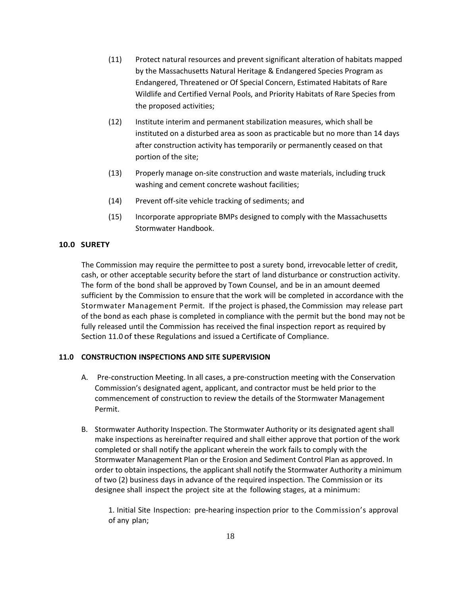- (11) Protect natural resources and prevent significant alteration of habitats mapped by the Massachusetts Natural Heritage & Endangered Species Program as Endangered, Threatened or Of Special Concern, Estimated Habitats of Rare Wildlife and Certified Vernal Pools, and Priority Habitats of Rare Species from the proposed activities;
- (12) Institute interim and permanent stabilization measures, which shall be instituted on a disturbed area as soon as practicable but no more than 14 days after construction activity has temporarily or permanently ceased on that portion of the site;
- (13) Properly manage on-site construction and waste materials, including truck washing and cement concrete washout facilities;
- (14) Prevent off-site vehicle tracking of sediments; and
- (15) Incorporate appropriate BMPs designed to comply with the Massachusetts Stormwater Handbook.

# **10.0 SURETY**

The Commission may require the permittee to post a surety bond, irrevocable letter of credit, cash, or other acceptable security before the start of land disturbance or construction activity. The form of the bond shall be approved by Town Counsel, and be in an amount deemed sufficient by the Commission to ensure that the work will be completed in accordance with the Stormwater Management Permit. If the project is phased, the Commission may release part of the bond as each phase is completed in compliance with the permit but the bond may not be fully released until the Commission has received the final inspection report as required by Section 11.0 of these Regulations and issued a Certificate of Compliance.

#### **11.0 CONSTRUCTION INSPECTIONS AND SITE SUPERVISION**

- A. Pre-construction Meeting. In all cases, a pre-construction meeting with the Conservation Commission's designated agent, applicant, and contractor must be held prior to the commencement of construction to review the details of the Stormwater Management Permit.
- B. Stormwater Authority Inspection. The Stormwater Authority or its designated agent shall make inspections as hereinafter required and shall either approve that portion of the work completed or shall notify the applicant wherein the work fails to comply with the Stormwater Management Plan or the Erosion and Sediment Control Plan as approved. In order to obtain inspections, the applicant shall notify the Stormwater Authority a minimum of two (2) business days in advance of the required inspection. The Commission or its designee shall inspect the project site at the following stages, at a minimum:

1. Initial Site Inspection: pre-hearing inspection prior to the Commission's approval of any plan;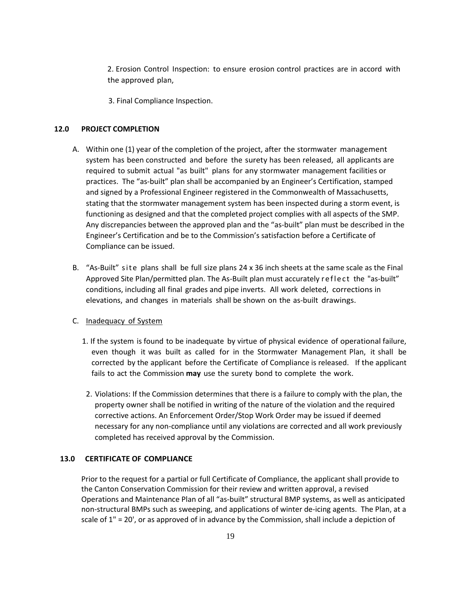2. Erosion Control Inspection: to ensure erosion control practices are in accord with the approved plan,

3. Final Compliance Inspection.

#### **12.0 PROJECT COMPLETION**

- A. Within one (1) year of the completion of the project, after the stormwater management system has been constructed and before the surety has been released, all applicants are required to submit actual "as built" plans for any stormwater management facilities or practices. The "as-built" plan shall be accompanied by an Engineer's Certification, stamped and signed by a Professional Engineer registered in the Commonwealth of Massachusetts, stating that the stormwater management system has been inspected during a storm event, is functioning as designed and that the completed project complies with all aspects of the SMP. Any discrepancies between the approved plan and the "as-built" plan must be described in the Engineer's Certification and be to the Commission's satisfaction before a Certificate of Compliance can be issued.
- B. "As-Built" site plans shall be full size plans 24 x 36 inch sheets at the same scale as the Final Approved Site Plan/permitted plan. The As-Built plan must accurately reflect the "as-built" conditions, including all final grades and pipe inverts. All work deleted, corrections in elevations, and changes in materials shall be shown on the as-built drawings.

#### C. Inadequacy of System

- 1. If the system is found to be inadequate by virtue of physical evidence of operational failure, even though it was built as called for in the Stormwater Management Plan, it shall be corrected by the applicant before the Certificate of Compliance is released. If the applicant fails to act the Commission **may** use the surety bond to complete the work.
- 2. Violations: If the Commission determines that there is a failure to comply with the plan, the property owner shall be notified in writing of the nature of the violation and the required corrective actions. An Enforcement Order/Stop Work Order may be issued if deemed necessary for any non-compliance until any violations are corrected and all work previously completed has received approval by the Commission.

# **13.0 CERTIFICATE OF COMPLIANCE**

Prior to the request for a partial or full Certificate of Compliance, the applicant shall provide to the Canton Conservation Commission for their review and written approval, a revised Operations and Maintenance Plan of all "as-built" structural BMP systems, as well as anticipated non-structural BMPs such as sweeping, and applications of winter de-icing agents. The Plan, at a scale of 1" = 20', or as approved of in advance by the Commission, shall include a depiction of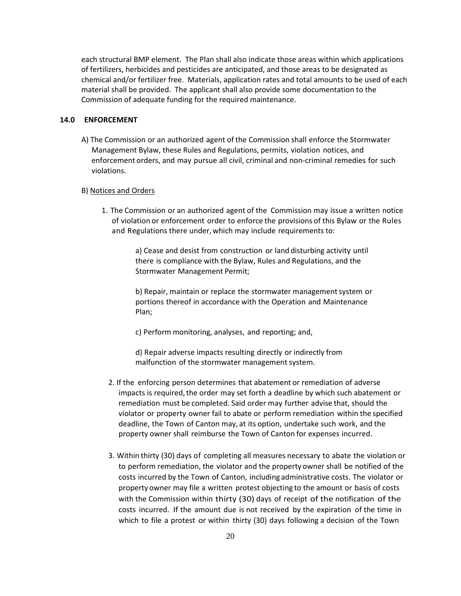each structural BMP element. The Plan shall also indicate those areas within which applications of fertilizers, herbicides and pesticides are anticipated, and those areas to be designated as chemical and/or fertilizer free. Materials, application rates and total amounts to be used of each material shall be provided. The applicant shall also provide some documentation to the Commission of adequate funding for the required maintenance.

#### **14.0 ENFORCEMENT**

A) The Commission or an authorized agent of the Commission shall enforce the Stormwater Management Bylaw, these Rules and Regulations, permits, violation notices, and enforcement orders, and may pursue all civil, criminal and non-criminal remedies for such violations.

#### B) Notices and Orders

1. The Commission or an authorized agent of the Commission may issue a written notice of violation or enforcement order to enforce the provisions of this Bylaw or the Rules and Regulations there under, which may include requirements to:

> a) Cease and desist from construction or land disturbing activity until there is compliance with the Bylaw, Rules and Regulations, and the Stormwater Management Permit;

b) Repair, maintain or replace the stormwater management system or portions thereof in accordance with the Operation and Maintenance Plan;

c) Perform monitoring, analyses, and reporting; and,

d) Repair adverse impacts resulting directly or indirectly from malfunction of the stormwater management system.

- 2. If the enforcing person determines that abatement or remediation of adverse impacts is required, the order may set forth a deadline by which such abatement or remediation must be completed. Said order may further advise that, should the violator or property owner fail to abate or perform remediation within the specified deadline, the Town of Canton may, at its option, undertake such work, and the property owner shall reimburse the Town of Canton for expenses incurred.
- 3. Within thirty (30) days of completing all measures necessary to abate the violation or to perform remediation, the violator and the property owner shall be notified of the costs incurred by the Town of Canton, including administrative costs. The violator or property owner may file a written protest objecting to the amount or basis of costs with the Commission within thirty (30) days of receipt of the notification of the costs incurred. If the amount due is not received by the expiration of the time in which to file a protest or within thirty (30) days following a decision of the Town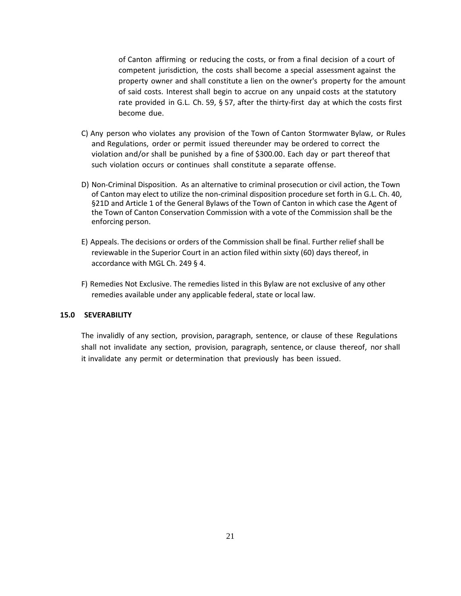of Canton affirming or reducing the costs, or from a final decision of a court of competent jurisdiction, the costs shall become a special assessment against the property owner and shall constitute a lien on the owner's property for the amount of said costs. Interest shall begin to accrue on any unpaid costs at the statutory rate provided in G.L. Ch. 59, § 57, after the thirty-first day at which the costs first become due.

- C) Any person who violates any provision of the Town of Canton Stormwater Bylaw, or Rules and Regulations, order or permit issued thereunder may be ordered to correct the violation and/or shall be punished by a fine of \$300.00. Each day or part thereof that such violation occurs or continues shall constitute a separate offense.
- D) Non-Criminal Disposition. As an alternative to criminal prosecution or civil action, the Town of Canton may elect to utilize the non-criminal disposition procedure set forth in G.L. Ch. 40, §21D and Article 1 of the General Bylaws of the Town of Canton in which case the Agent of the Town of Canton Conservation Commission with a vote of the Commission shall be the enforcing person.
- E) Appeals. The decisions or orders of the Commission shall be final. Further relief shall be reviewable in the Superior Court in an action filed within sixty (60) days thereof, in accordance with MGL Ch. 249 § 4.
- F) Remedies Not Exclusive. The remedies listed in this Bylaw are not exclusive of any other remedies available under any applicable federal, state or local law.

# **15.0 SEVERABILITY**

The invalidly of any section, provision, paragraph, sentence, or clause of these Regulations shall not invalidate any section, provision, paragraph, sentence, or clause thereof, nor shall it invalidate any permit or determination that previously has been issued.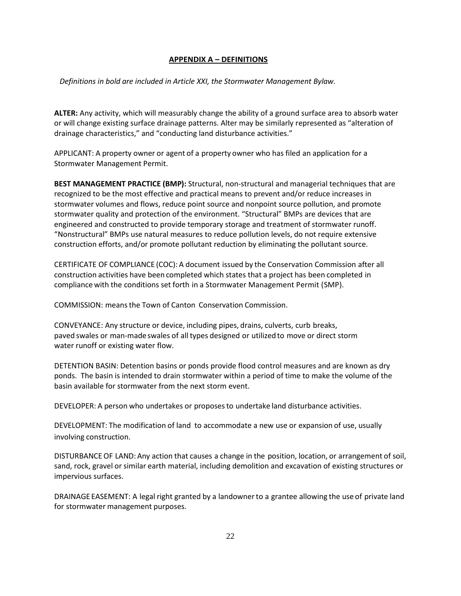# **APPENDIX A – DEFINITIONS**

*Definitions in bold are included in Article XXI, the Stormwater Management Bylaw.*

**ALTER:** Any activity, which will measurably change the ability of a ground surface area to absorb water or will change existing surface drainage patterns. Alter may be similarly represented as "alteration of drainage characteristics," and "conducting land disturbance activities."

APPLICANT: A property owner or agent of a property owner who has filed an application for a Stormwater Management Permit.

**BEST MANAGEMENT PRACTICE (BMP):** Structural, non-structural and managerial techniques that are recognized to be the most effective and practical means to prevent and/or reduce increases in stormwater volumes and flows, reduce point source and nonpoint source pollution, and promote stormwater quality and protection of the environment. "Structural" BMPs are devices that are engineered and constructed to provide temporary storage and treatment of stormwater runoff. "Nonstructural" BMPs use natural measures to reduce pollution levels, do not require extensive construction efforts, and/or promote pollutant reduction by eliminating the pollutant source.

CERTIFICATE OF COMPLIANCE (COC): A document issued by the Conservation Commission after all construction activities have been completed which states that a project has been completed in compliance with the conditions set forth in a Stormwater Management Permit (SMP).

COMMISSION: meansthe Town of Canton Conservation Commission.

CONVEYANCE: Any structure or device, including pipes, drains, culverts, curb breaks, paved swales or man-madeswales of all types designed or utilizedto move or direct storm water runoff or existing water flow.

DETENTION BASIN: Detention basins or ponds provide flood control measures and are known as dry ponds. The basin is intended to drain stormwater within a period of time to make the volume of the basin available for stormwater from the next storm event.

DEVELOPER: A person who undertakes or proposesto undertake land disturbance activities.

DEVELOPMENT: The modification of land to accommodate a new use or expansion of use, usually involving construction.

DISTURBANCEOF LAND: Any action that causes a change in the position, location, or arrangement of soil, sand, rock, gravel or similar earth material, including demolition and excavation of existing structures or impervious surfaces.

DRAINAGE EASEMENT: A legal right granted by a landownerto a grantee allowing the use of private land for stormwater management purposes.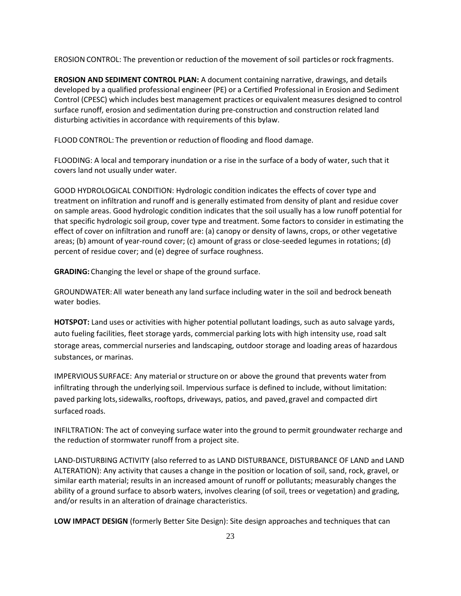EROSION CONTROL: The prevention or reduction of the movement of soil particles or rock fragments.

**EROSION AND SEDIMENT CONTROL PLAN:** A document containing narrative, drawings, and details developed by a qualified professional engineer (PE) or a Certified Professional in Erosion and Sediment Control (CPESC) which includes best management practices or equivalent measures designed to control surface runoff, erosion and sedimentation during pre-construction and construction related land disturbing activities in accordance with requirements of this bylaw.

FLOOD CONTROL: The prevention or reduction of flooding and flood damage.

FLOODING: A local and temporary inundation or a rise in the surface of a body of water, such that it covers land not usually under water.

GOOD HYDROLOGICAL CONDITION: Hydrologic condition indicates the effects of cover type and treatment on infiltration and runoff and is generally estimated from density of plant and residue cover on sample areas. Good hydrologic condition indicates that the soil usually has a low runoff potential for that specific hydrologic soil group, cover type and treatment. Some factors to consider in estimating the effect of cover on infiltration and runoff are: (a) canopy or density of lawns, crops, or other vegetative areas; (b) amount of year-round cover; (c) amount of grass or close-seeded legumes in rotations; (d) percent of residue cover; and (e) degree of surface roughness.

**GRADING:** Changing the level or shape of the ground surface.

GROUNDWATER:All water beneath any land surface including water in the soil and bedrock beneath water bodies.

**HOTSPOT:** Land uses or activities with higher potential pollutant loadings, such as auto salvage yards, auto fueling facilities, fleet storage yards, commercial parking lots with high intensity use, road salt storage areas, commercial nurseries and landscaping, outdoor storage and loading areas of hazardous substances, or marinas.

IMPERVIOUS SURFACE: Any material or structure on or above the ground that prevents water from infiltrating through the underlying soil. Impervious surface is defined to include, without limitation: paved parking lots, sidewalks, rooftops, driveways, patios, and paved, gravel and compacted dirt surfaced roads.

INFILTRATION: The act of conveying surface water into the ground to permit groundwater recharge and the reduction of stormwater runoff from a project site.

LAND-DISTURBING ACTIVITY (also referred to as LAND DISTURBANCE, DISTURBANCE OF LAND and LAND ALTERATION): Any activity that causes a change in the position or location of soil, sand, rock, gravel, or similar earth material; results in an increased amount of runoff or pollutants; measurably changes the ability of a ground surface to absorb waters, involves clearing (of soil, trees or vegetation) and grading, and/or results in an alteration of drainage characteristics.

**LOW IMPACT DESIGN** (formerly Better Site Design): Site design approaches and techniques that can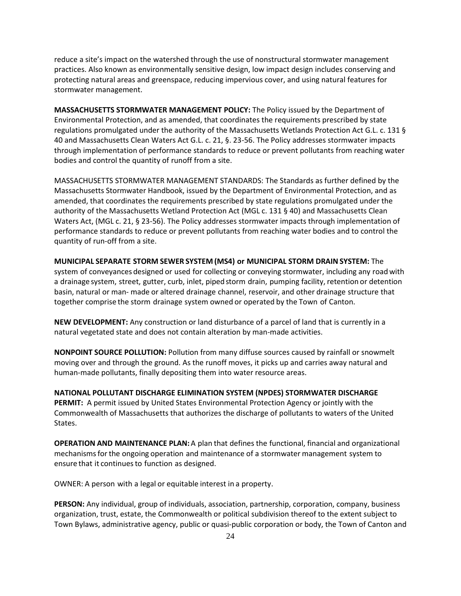reduce a site's impact on the watershed through the use of nonstructural stormwater management practices. Also known as environmentally sensitive design, low impact design includes conserving and protecting natural areas and greenspace, reducing impervious cover, and using natural features for stormwater management.

**MASSACHUSETTS STORMWATER MANAGEMENT POLICY:** The Policy issued by the Department of Environmental Protection, and as amended, that coordinates the requirements prescribed by state regulations promulgated under the authority of the Massachusetts Wetlands Protection Act G.L. c. 131 § 40 and Massachusetts Clean Waters Act G.L. c. 21, §. 23-56. The Policy addresses stormwater impacts through implementation of performance standards to reduce or prevent pollutants from reaching water bodies and control the quantity of runoff from a site.

MASSACHUSETTS STORMWATER MANAGEMENT STANDARDS: The Standards as further defined by the Massachusetts Stormwater Handbook, issued by the Department of Environmental Protection, and as amended, that coordinates the requirements prescribed by state regulations promulgated under the authority of the Massachusetts Wetland Protection Act (MGL c. 131 § 40) and Massachusetts Clean Waters Act, (MGL c. 21, § 23-56). The Policy addresses stormwater impacts through implementation of performance standards to reduce or prevent pollutants from reaching water bodies and to control the quantity of run-off from a site.

**MUNICIPAL SEPARATE STORM SEWER SYSTEM (MS4) or MUNICIPAL STORM DRAIN SYSTEM:** The system of conveyances designed or used for collecting or conveying stormwater, including any roadwith a drainage system, street, gutter, curb, inlet, pipedstorm drain, pumping facility, retention or detention basin, natural or man- made or altered drainage channel, reservoir, and other drainage structure that together comprise the storm drainage system owned or operated by the Town of Canton.

**NEW DEVELOPMENT:** Any construction or land disturbance of a parcel of land that is currently in a natural vegetated state and does not contain alteration by man-made activities.

**NONPOINT SOURCE POLLUTION:** Pollution from many diffuse sources caused by rainfall or snowmelt moving over and through the ground. As the runoff moves, it picks up and carries away natural and human-made pollutants, finally depositing them into water resource areas.

**NATIONAL POLLUTANT DISCHARGE ELIMINATION SYSTEM (NPDES) STORMWATER DISCHARGE PERMIT:** A permit issued by United States Environmental Protection Agency or jointly with the Commonwealth of Massachusetts that authorizes the discharge of pollutants to waters of the United States.

**OPERATION AND MAINTENANCE PLAN:**A plan that defines the functional, financial and organizational mechanismsforthe ongoing operation and maintenance of a stormwater management system to ensure that it continues to function as designed.

OWNER: A person with a legal or equitable interest in a property.

**PERSON:** Any individual, group of individuals, association, partnership, corporation, company, business organization, trust, estate, the Commonwealth or political subdivision thereof to the extent subject to Town Bylaws, administrative agency, public or quasi-public corporation or body, the Town of Canton and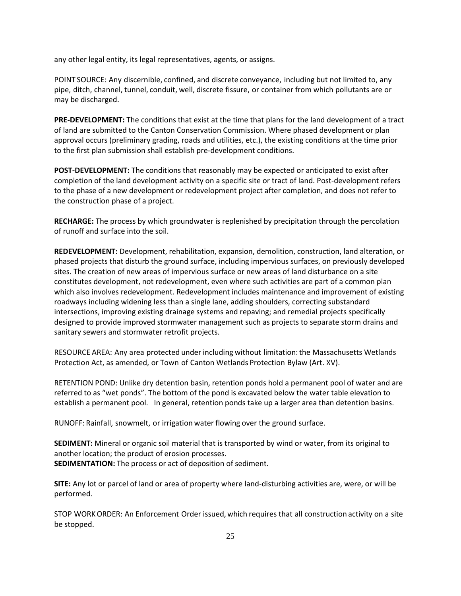any other legal entity, its legal representatives, agents, or assigns.

POINT SOURCE: Any discernible, confined, and discrete conveyance, including but not limited to, any pipe, ditch, channel, tunnel, conduit, well, discrete fissure, or container from which pollutants are or may be discharged.

**PRE-DEVELOPMENT:** The conditions that exist at the time that plans for the land development of a tract of land are submitted to the Canton Conservation Commission. Where phased development or plan approval occurs (preliminary grading, roads and utilities, etc.), the existing conditions at the time prior to the first plan submission shall establish pre-development conditions.

**POST-DEVELOPMENT:** The conditions that reasonably may be expected or anticipated to exist after completion of the land development activity on a specific site or tract of land. Post-development refers to the phase of a new development or redevelopment project after completion, and does not refer to the construction phase of a project.

**RECHARGE:** The process by which groundwater is replenished by precipitation through the percolation of runoff and surface into the soil.

**REDEVELOPMENT:** Development, rehabilitation, expansion, demolition, construction, land alteration, or phased projects that disturb the ground surface, including impervious surfaces, on previously developed sites. The creation of new areas of impervious surface or new areas of land disturbance on a site constitutes development, not redevelopment, even where such activities are part of a common plan which also involves redevelopment. Redevelopment includes maintenance and improvement of existing roadways including widening less than a single lane, adding shoulders, correcting substandard intersections, improving existing drainage systems and repaving; and remedial projects specifically designed to provide improved stormwater management such as projects to separate storm drains and sanitary sewers and stormwater retrofit projects.

RESOURCE AREA: Any area protected under including without limitation:the Massachusetts Wetlands Protection Act, as amended, or Town of Canton Wetlands Protection Bylaw (Art. XV).

RETENTION POND: Unlike dry detention basin, retention ponds hold a permanent pool of water and are referred to as "wet ponds". The bottom of the pond is excavated below the water table elevation to establish a permanent pool. In general, retention ponds take up a larger area than detention basins.

RUNOFF: Rainfall, snowmelt, or irrigation water flowing over the ground surface.

**SEDIMENT:** Mineral or organic soil material that is transported by wind or water, from its original to another location; the product of erosion processes. **SEDIMENTATION:** The process or act of deposition of sediment.

**SITE:** Any lot or parcel of land or area of property where land-disturbing activities are, were, or will be performed.

STOP WORK ORDER: An Enforcement Order issued, which requires that all construction activity on a site be stopped.